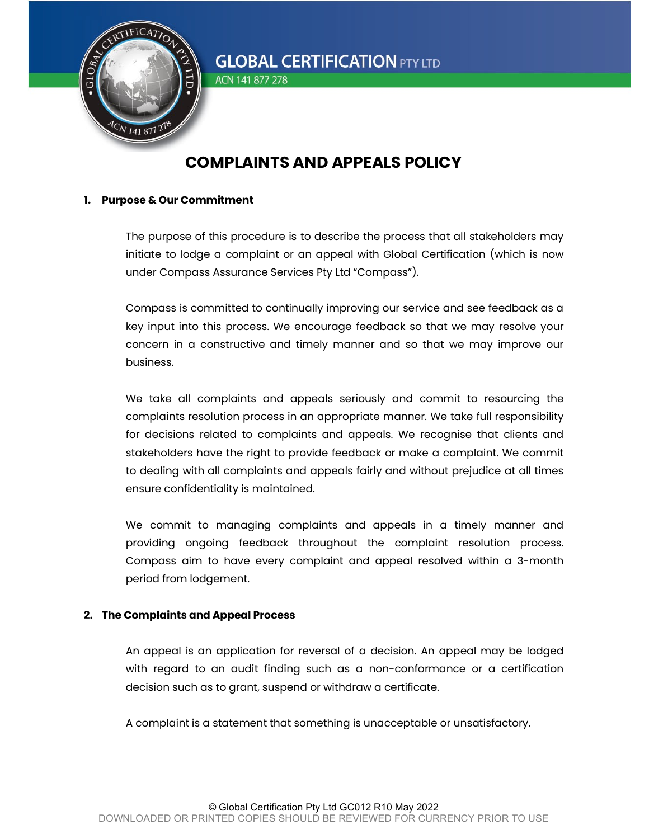

ACN 141 877 278

## COMPLAINTS AND APPEALS POLICY

#### 1. Purpose & Our Commitment

The purpose of this procedure is to describe the process that all stakeholders may initiate to lodge a complaint or an appeal with Global Certification (which is now under Compass Assurance Services Pty Ltd "Compass").

Compass is committed to continually improving our service and see feedback as a key input into this process. We encourage feedback so that we may resolve your concern in a constructive and timely manner and so that we may improve our business.

We take all complaints and appeals seriously and commit to resourcing the complaints resolution process in an appropriate manner. We take full responsibility for decisions related to complaints and appeals. We recognise that clients and stakeholders have the right to provide feedback or make a complaint. We commit to dealing with all complaints and appeals fairly and without prejudice at all times ensure confidentiality is maintained.

We commit to managing complaints and appeals in a timely manner and providing ongoing feedback throughout the complaint resolution process. Compass aim to have every complaint and appeal resolved within a 3-month period from lodgement.

## 2. The Complaints and Appeal Process

An appeal is an application for reversal of a decision. An appeal may be lodged with regard to an audit finding such as a non-conformance or a certification decision such as to grant, suspend or withdraw a certificate.

A complaint is a statement that something is unacceptable or unsatisfactory.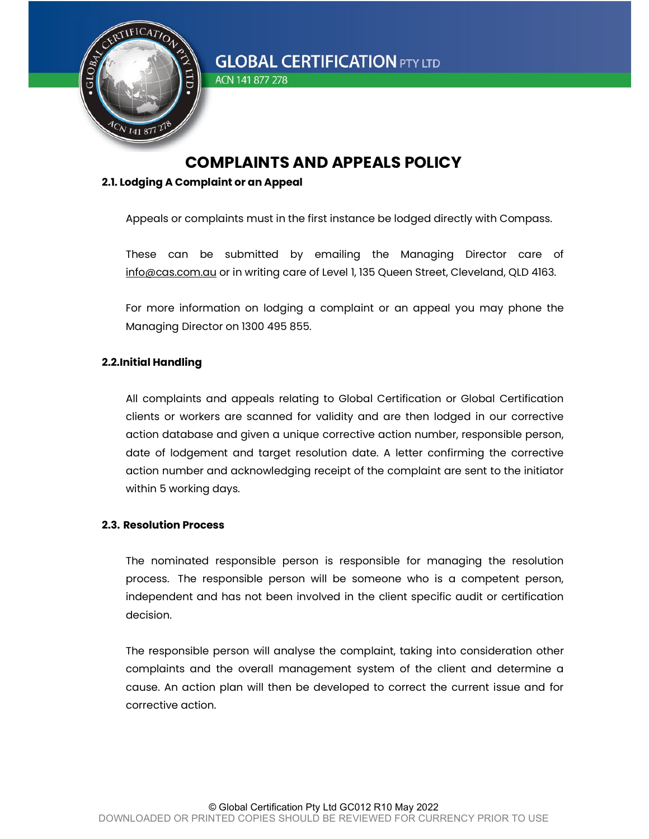

ACN 141 877 278

## COMPLAINTS AND APPEALS POLICY

#### 2.1. Lodging A Complaint or an Appeal

Appeals or complaints must in the first instance be lodged directly with Compass.

These can be submitted by emailing the Managing Director care of info@cas.com.au or in writing care of Level 1, 135 Queen Street, Cleveland, QLD 4163.

For more information on lodging a complaint or an appeal you may phone the Managing Director on 1300 495 855.

## 2.2.Initial Handling

All complaints and appeals relating to Global Certification or Global Certification clients or workers are scanned for validity and are then lodged in our corrective action database and given a unique corrective action number, responsible person, date of lodgement and target resolution date. A letter confirming the corrective action number and acknowledging receipt of the complaint are sent to the initiator within 5 working days.

#### 2.3. Resolution Process

The nominated responsible person is responsible for managing the resolution process. The responsible person will be someone who is a competent person, independent and has not been involved in the client specific audit or certification decision.

The responsible person will analyse the complaint, taking into consideration other complaints and the overall management system of the client and determine a cause. An action plan will then be developed to correct the current issue and for corrective action.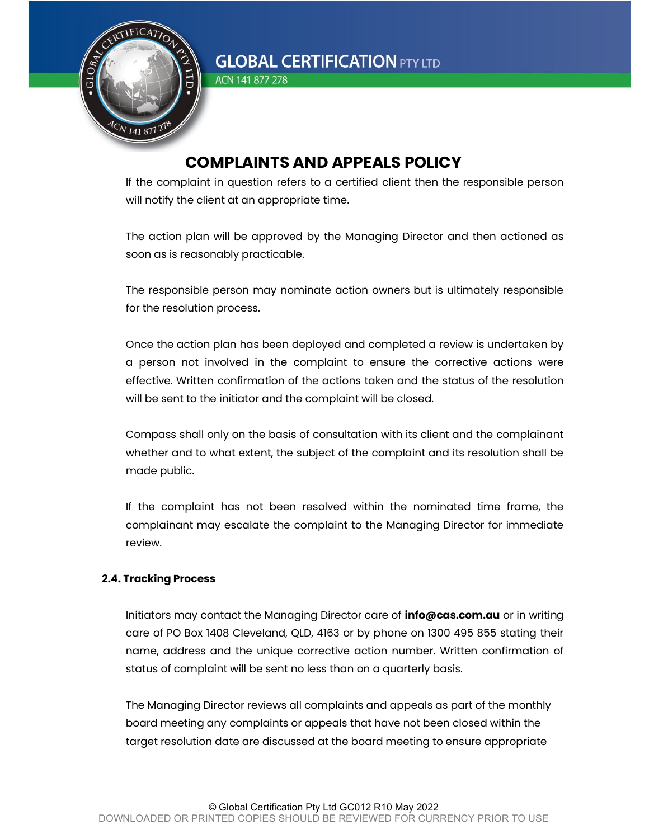

ACN 141 877 278

## COMPLAINTS AND APPEALS POLICY

If the complaint in question refers to a certified client then the responsible person will notify the client at an appropriate time.

The action plan will be approved by the Managing Director and then actioned as soon as is reasonably practicable.

The responsible person may nominate action owners but is ultimately responsible for the resolution process.

Once the action plan has been deployed and completed a review is undertaken by a person not involved in the complaint to ensure the corrective actions were effective. Written confirmation of the actions taken and the status of the resolution will be sent to the initiator and the complaint will be closed.

Compass shall only on the basis of consultation with its client and the complainant whether and to what extent, the subject of the complaint and its resolution shall be made public.

If the complaint has not been resolved within the nominated time frame, the complainant may escalate the complaint to the Managing Director for immediate review.

## 2.4. Tracking Process

Initiators may contact the Managing Director care of **info@cas.com.au** or in writing care of PO Box 1408 Cleveland, QLD, 4163 or by phone on 1300 495 855 stating their name, address and the unique corrective action number. Written confirmation of status of complaint will be sent no less than on a quarterly basis.

The Managing Director reviews all complaints and appeals as part of the monthly board meeting any complaints or appeals that have not been closed within the target resolution date are discussed at the board meeting to ensure appropriate